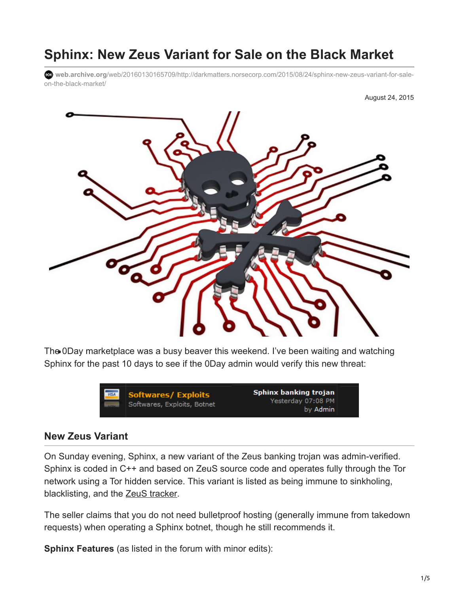# **Sphinx: New Zeus Variant for Sale on the Black Market**

**web.archive.org**[/web/20160130165709/http://darkmatters.norsecorp.com/2015/08/24/sphinx-new-zeus-variant-for-sale](https://web.archive.org/web/20160130165709/http://darkmatters.norsecorp.com/2015/08/24/sphinx-new-zeus-variant-for-sale-on-the-black-market/)on-the-black-market/



The 0Day marketplace was a busy beaver this weekend. I've been waiting and watching Sphinx for the past 10 days to see if the 0Day admin would verify this new threat:



#### **New Zeus Variant**

On Sunday evening, Sphinx, a new variant of the Zeus banking trojan was admin-verified. Sphinx is coded in C++ and based on ZeuS source code and operates fully through the Tor network using a Tor hidden service. This variant is listed as being immune to sinkholing, blacklisting, and the **ZeuS** tracker.

The seller claims that you do not need bulletproof hosting (generally immune from takedown requests) when operating a Sphinx botnet, though he still recommends it.

**Sphinx Features** (as listed in the forum with minor edits):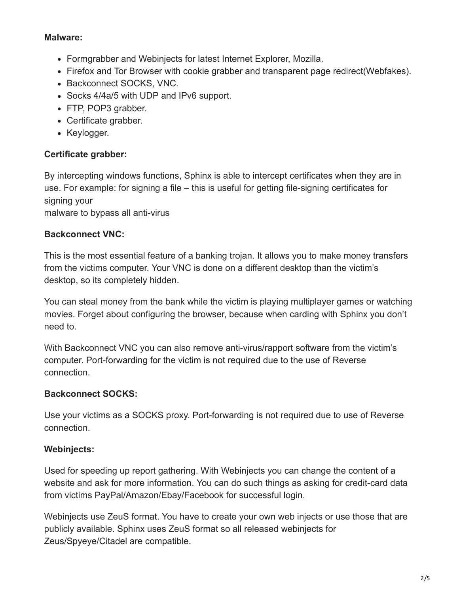#### **Malware:**

- Formgrabber and Webinjects for latest Internet Explorer, Mozilla.
- Firefox and Tor Browser with cookie grabber and transparent page redirect(Webfakes).
- Backconnect SOCKS, VNC.
- Socks 4/4a/5 with UDP and IPv6 support.
- FTP, POP3 grabber.
- Certificate grabber.
- Keylogger.

# **Certificate grabber:**

By intercepting windows functions, Sphinx is able to intercept certificates when they are in use. For example: for signing a file – this is useful for getting file-signing certificates for signing your

malware to bypass all anti-virus

# **Backconnect VNC:**

This is the most essential feature of a banking trojan. It allows you to make money transfers from the victims computer. Your VNC is done on a different desktop than the victim's desktop, so its completely hidden.

You can steal money from the bank while the victim is playing multiplayer games or watching movies. Forget about configuring the browser, because when carding with Sphinx you don't need to.

With Backconnect VNC you can also remove anti-virus/rapport software from the victim's computer. Port-forwarding for the victim is not required due to the use of Reverse connection.

# **Backconnect SOCKS:**

Use your victims as a SOCKS proxy. Port-forwarding is not required due to use of Reverse connection.

# **Webinjects:**

Used for speeding up report gathering. With Webinjects you can change the content of a website and ask for more information. You can do such things as asking for credit-card data from victims PayPal/Amazon/Ebay/Facebook for successful login.

Webinjects use ZeuS format. You have to create your own web injects or use those that are publicly available. Sphinx uses ZeuS format so all released webinjects for Zeus/Spyeye/Citadel are compatible.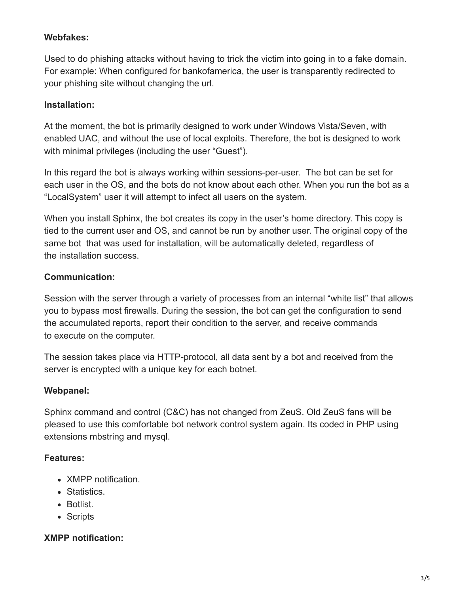#### **Webfakes:**

Used to do phishing attacks without having to trick the victim into going in to a fake domain. For example: When configured for bankofamerica, the user is transparently redirected to your phishing site without changing the url.

#### **Installation:**

At the moment, the bot is primarily designed to work under Windows Vista/Seven, with enabled UAC, and without the use of local exploits. Therefore, the bot is designed to work with minimal privileges (including the user "Guest").

In this regard the bot is always working within sessions-per-user. The bot can be set for each user in the OS, and the bots do not know about each other. When you run the bot as a "LocalSystem" user it will attempt to infect all users on the system.

When you install Sphinx, the bot creates its copy in the user's home directory. This copy is tied to the current user and OS, and cannot be run by another user. The original copy of the same bot that was used for installation, will be automatically deleted, regardless of the installation success.

#### **Communication:**

Session with the server through a variety of processes from an internal "white list" that allows you to bypass most firewalls. During the session, the bot can get the configuration to send the accumulated reports, report their condition to the server, and receive commands to execute on the computer.

The session takes place via HTTP-protocol, all data sent by a bot and received from the server is encrypted with a unique key for each botnet.

#### **Webpanel:**

Sphinx command and control (C&C) has not changed from ZeuS. Old ZeuS fans will be pleased to use this comfortable bot network control system again. Its coded in PHP using extensions mbstring and mysql.

#### **Features:**

- XMPP notification.
- Statistics.
- Botlist.
- Scripts

# **XMPP notification:**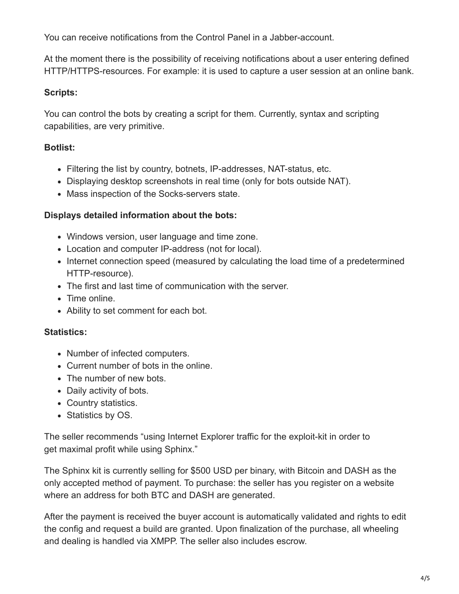You can receive notifications from the Control Panel in a Jabber-account.

At the moment there is the possibility of receiving notifications about a user entering defined HTTP/HTTPS-resources. For example: it is used to capture a user session at an online bank.

# **Scripts:**

You can control the bots by creating a script for them. Currently, syntax and scripting capabilities, are very primitive.

# **Botlist:**

- Filtering the list by country, botnets, IP-addresses, NAT-status, etc.
- Displaying desktop screenshots in real time (only for bots outside NAT).
- Mass inspection of the Socks-servers state.

# **Displays detailed information about the bots:**

- Windows version, user language and time zone.
- Location and computer IP-address (not for local).
- Internet connection speed (measured by calculating the load time of a predetermined HTTP-resource).
- The first and last time of communication with the server.
- Time online.
- Ability to set comment for each bot.

# **Statistics:**

- Number of infected computers.
- Current number of bots in the online.
- The number of new bots.
- Daily activity of bots.
- Country statistics.
- Statistics by OS.

The seller recommends "using Internet Explorer traffic for the exploit-kit in order to get maximal profit while using Sphinx."

The Sphinx kit is currently selling for \$500 USD per binary, with Bitcoin and DASH as the only accepted method of payment. To purchase: the seller has you register on a website where an address for both BTC and DASH are generated.

After the payment is received the buyer account is automatically validated and rights to edit the config and request a build are granted. Upon finalization of the purchase, all wheeling and dealing is handled via XMPP. The seller also includes escrow.